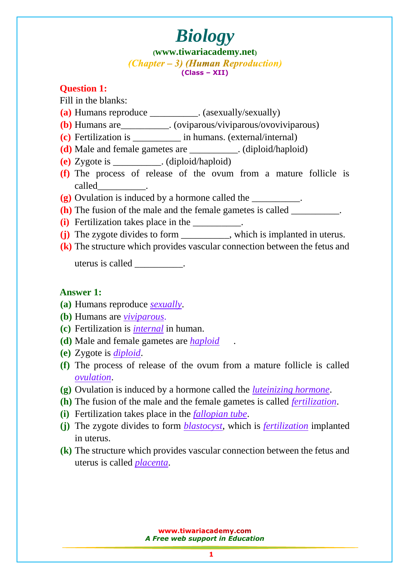**([www.tiwariacademy.net](http://www.tiwariacademy.net/))**  $(Chapter - 3)$  (Human Reproduction) **(Class – XII)**

#### **Question 1:**

Fill in the blanks:

- **(a)** Humans reproduce \_\_\_\_\_\_\_\_\_\_. (asexually/sexually)
- **(b)** Humans are\_\_\_\_\_\_\_\_\_\_. (oviparous/viviparous/ovoviviparous)
- **(c)** Fertilization is \_\_\_\_\_\_\_\_\_\_ in humans. (external/internal)
- **(d)** Male and female gametes are \_\_\_\_\_\_\_\_\_\_. (diploid/haploid)
- **(e)** Zygote is \_\_\_\_\_\_\_\_\_\_. (diploid/haploid)
- **(f)** The process of release of the ovum from a mature follicle is called\_\_\_\_\_\_\_\_\_\_.
- **(g)** Ovulation is induced by a hormone called the \_\_\_\_\_\_\_\_\_\_.
- **(h)** The fusion of the male and the female gametes is called
- **(i)** Fertilization takes place in the \_\_\_\_\_\_\_\_\_\_.
- **(j)** The zygote divides to form \_\_\_\_\_\_\_\_\_\_, which is implanted in uterus.
- **(k)** The structure which provides vascular connection between the fetus and

uterus is called \_\_\_\_\_\_\_\_\_\_.

#### **Answer 1:**

- **(a)** Humans reproduce *sexually*.
- **(b)** Humans are *viviparous*.
- **(c)** Fertilization is *internal* in human.
- **(d)** Male and female gametes are *haploid* .
- **(e)** Zygote is *diploid*.
- **(f)** The process of release of the ovum from a mature follicle is called *ovulation*.
- **(g)** Ovulation is induced by a hormone called the *luteinizing hormone*.
- **(h)** The fusion of the male and the female gametes is called *fertilization*.
- **(i)** Fertilization takes place in the *fallopian tube*.
- **(j)** The zygote divides to form *blastocyst*, which is *fertilization* implanted in uterus.
- **(k)** The structure which provides vascular connection between the fetus and uterus is called *placenta*.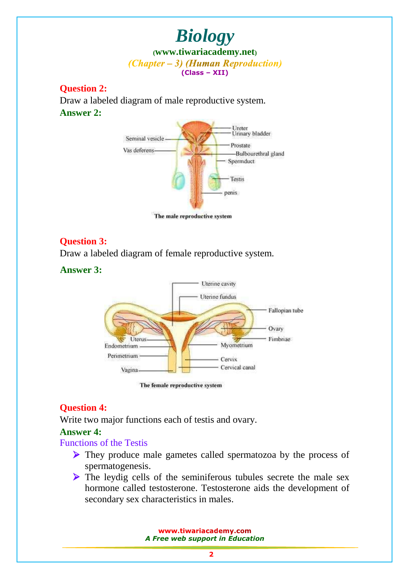#### **Question 2:**

Draw a labeled diagram of male reproductive system. **Answer 2:**



The male reproductive system

### **Question 3:**

Draw a labeled diagram of female reproductive system.

**Answer 3:**



The female reproductive system

### **Question 4:**

Write two major functions each of testis and ovary.

#### **Answer 4:**

#### Functions of the Testis

- If They produce male gametes called spermatozoa by the process of spermatogenesis.
- If The leydig cells of the seminiferous tubules secrete the male sex hormone called testosterone. Testosterone aids the development of secondary sex characteristics in males.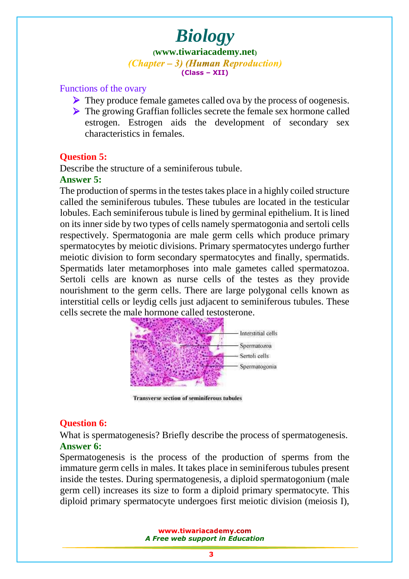**([www.tiwariacademy.net](http://www.tiwariacademy.net/))**  $(Chapter - 3)$  (Human Reproduction) **(Class – XII)**

#### Functions of the ovary

- $\triangleright$  They produce female gametes called ova by the process of oogenesis.
- The growing Graffian follicles secrete the female sex hormone called estrogen. Estrogen aids the development of secondary sex characteristics in females.

#### **Question 5:**

Describe the structure of a seminiferous tubule.

#### **Answer 5:**

The production of sperms in the testes takes place in a highly coiled structure called the seminiferous tubules. These tubules are located in the testicular lobules. Each seminiferous tubule is lined by germinal epithelium. It is lined on its inner side by two types of cells namely spermatogonia and sertoli cells respectively. Spermatogonia are male germ cells which produce primary spermatocytes by meiotic divisions. Primary spermatocytes undergo further meiotic division to form secondary spermatocytes and finally, spermatids. Spermatids later metamorphoses into male gametes called spermatozoa. Sertoli cells are known as nurse cells of the testes as they provide nourishment to the germ cells. There are large polygonal cells known as interstitial cells or leydig cells just adjacent to seminiferous tubules. These cells secrete the male hormone called testosterone.



**Transverse section of seminiferous tubules** 

### **Question 6:**

What is spermatogenesis? Briefly describe the process of spermatogenesis. **Answer 6:**

Spermatogenesis is the process of the production of sperms from the immature germ cells in males. It takes place in seminiferous tubules present inside the testes. During spermatogenesis, a diploid spermatogonium (male germ cell) increases its size to form a diploid primary spermatocyte. This diploid primary spermatocyte undergoes first meiotic division (meiosis I),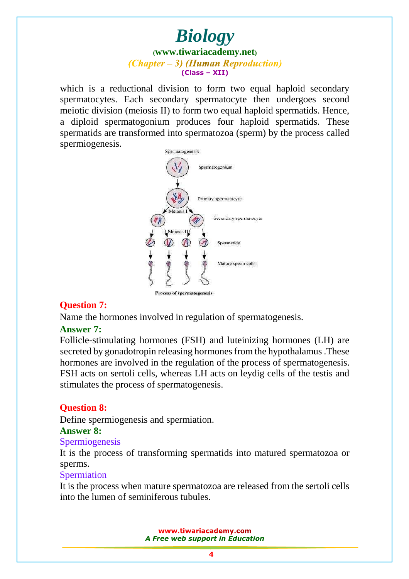which is a reductional division to form two equal haploid secondary spermatocytes. Each secondary spermatocyte then undergoes second meiotic division (meiosis II) to form two equal haploid spermatids. Hence, a diploid spermatogonium produces four haploid spermatids. These spermatids are transformed into spermatozoa (sperm) by the process called spermiogenesis.



## **Question 7:**

Name the hormones involved in regulation of spermatogenesis.

### **Answer 7:**

Follicle-stimulating hormones (FSH) and luteinizing hormones (LH) are secreted by gonadotropin releasing hormones from the hypothalamus .These hormones are involved in the regulation of the process of spermatogenesis. FSH acts on sertoli cells, whereas LH acts on leydig cells of the testis and stimulates the process of spermatogenesis.

## **Question 8:**

Define spermiogenesis and spermiation.

### **Answer 8:**

#### Spermiogenesis

It is the process of transforming spermatids into matured spermatozoa or sperms.

### **Spermiation**

It is the process when mature spermatozoa are released from the sertoli cells into the lumen of seminiferous tubules.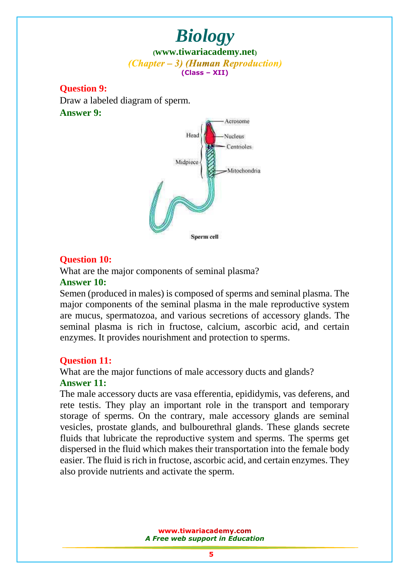**Question 9:**  Draw a labeled diagram of sperm. **Answer 9:**



#### **Question 10:**

What are the major components of seminal plasma?

#### **Answer 10:**

Semen (produced in males) is composed of sperms and seminal plasma. The major components of the seminal plasma in the male reproductive system are mucus, spermatozoa, and various secretions of accessory glands. The seminal plasma is rich in fructose, calcium, ascorbic acid, and certain enzymes. It provides nourishment and protection to sperms.

#### **Question 11:**

What are the major functions of male accessory ducts and glands?

### **Answer 11:**

The male accessory ducts are vasa efferentia, epididymis, vas deferens, and rete testis. They play an important role in the transport and temporary storage of sperms. On the contrary, male accessory glands are seminal vesicles, prostate glands, and bulbourethral glands. These glands secrete fluids that lubricate the reproductive system and sperms. The sperms get dispersed in the fluid which makes their transportation into the female body easier. The fluid is rich in fructose, ascorbic acid, and certain enzymes. They also provide nutrients and activate the sperm.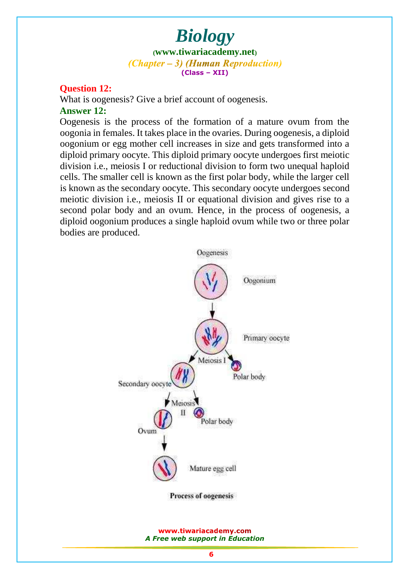### **Question 12:**

What is oogenesis? Give a brief account of oogenesis. **Answer 12:**

Oogenesis is the process of the formation of a mature ovum from the oogonia in females. It takes place in the ovaries. During oogenesis, a diploid oogonium or egg mother cell increases in size and gets transformed into a diploid primary oocyte. This diploid primary oocyte undergoes first meiotic division i.e., meiosis I or reductional division to form two unequal haploid cells. The smaller cell is known as the first polar body, while the larger cell is known as the secondary oocyte. This secondary oocyte undergoes second meiotic division i.e., meiosis II or equational division and gives rise to a second polar body and an ovum. Hence, in the process of oogenesis, a diploid oogonium produces a single haploid ovum while two or three polar bodies are produced.

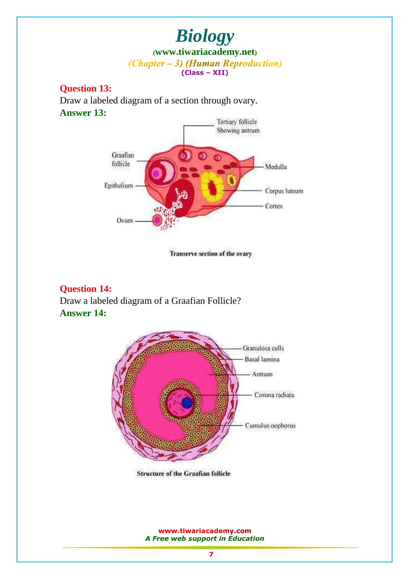**Question 13:** 

Draw a labeled diagram of a section through ovary. **Answer 13:**



Transerve section of the ovary

#### **Question 14:**

Draw a labeled diagram of a Graafian Follicle? **Answer 14:**



**Structure of the Graafian follicle**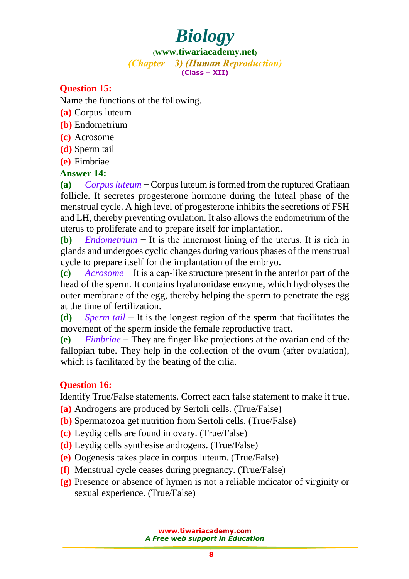**([www.tiwariacademy.net](http://www.tiwariacademy.net/))**  $(Chapter - 3)$  (Human Reproduction) **(Class – XII)**

## **Question 15:**

Name the functions of the following.

- **(a)** Corpus luteum
- **(b)** Endometrium
- **(c)** Acrosome
- **(d)** Sperm tail
- **(e)** Fimbriae

### **Answer 14:**

**(a)** *Corpus luteum* − Corpus luteum is formed from the ruptured Grafiaan follicle. It secretes progesterone hormone during the luteal phase of the menstrual cycle. A high level of progesterone inhibits the secretions of FSH and LH, thereby preventing ovulation. It also allows the endometrium of the uterus to proliferate and to prepare itself for implantation.

**(b)** *Endometrium* − It is the innermost lining of the uterus. It is rich in glands and undergoes cyclic changes during various phases of the menstrual cycle to prepare itself for the implantation of the embryo.

**(c)** *Acrosome* − It is a cap-like structure present in the anterior part of the head of the sperm. It contains hyaluronidase enzyme, which hydrolyses the outer membrane of the egg, thereby helping the sperm to penetrate the egg at the time of fertilization.

**(d)** *Sperm tail* − It is the longest region of the sperm that facilitates the movement of the sperm inside the female reproductive tract.

**(e)** *Fimbriae* − They are finger-like projections at the ovarian end of the fallopian tube. They help in the collection of the ovum (after ovulation), which is facilitated by the beating of the cilia.

## **Question 16:**

Identify True/False statements. Correct each false statement to make it true.

- **(a)** Androgens are produced by Sertoli cells. (True/False)
- **(b)** Spermatozoa get nutrition from Sertoli cells. (True/False)
- **(c)** Leydig cells are found in ovary. (True/False)
- **(d)** Leydig cells synthesise androgens. (True/False)
- **(e)** Oogenesis takes place in corpus luteum. (True/False)
- **(f)** Menstrual cycle ceases during pregnancy. (True/False)
- **(g)** Presence or absence of hymen is not a reliable indicator of virginity or sexual experience. (True/False)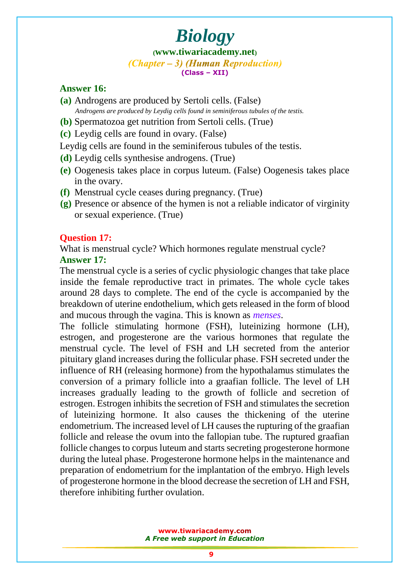#### **([www.tiwariacademy.net](http://www.tiwariacademy.net/))**  $(Chapter - 3)$  (Human Reproduction) **(Class – XII)**

### **Answer 16:**

- **(a)** Androgens are produced by Sertoli cells. (False)  *Androgens are produced by Leydig cells found in seminiferous tubules of the testis.*
- **(b)** Spermatozoa get nutrition from Sertoli cells. (True)
- **(c)** Leydig cells are found in ovary. (False)

Leydig cells are found in the seminiferous tubules of the testis.

- **(d)** Leydig cells synthesise androgens. (True)
- **(e)** Oogenesis takes place in corpus luteum. (False) Oogenesis takes place in the ovary.
- **(f)** Menstrual cycle ceases during pregnancy. (True)
- **(g)** Presence or absence of the hymen is not a reliable indicator of virginity or sexual experience. (True)

#### **Question 17:**

What is menstrual cycle? Which hormones regulate menstrual cycle?

## **Answer 17:**

The menstrual cycle is a series of cyclic physiologic changes that take place inside the female reproductive tract in primates. The whole cycle takes around 28 days to complete. The end of the cycle is accompanied by the breakdown of uterine endothelium, which gets released in the form of blood and mucous through the vagina. This is known as *menses*.

The follicle stimulating hormone (FSH), luteinizing hormone (LH), estrogen, and progesterone are the various hormones that regulate the menstrual cycle. The level of FSH and LH secreted from the anterior pituitary gland increases during the follicular phase. FSH secreted under the influence of RH (releasing hormone) from the hypothalamus stimulates the conversion of a primary follicle into a graafian follicle. The level of LH increases gradually leading to the growth of follicle and secretion of estrogen. Estrogen inhibits the secretion of FSH and stimulates the secretion of [luteinizing hormone. It also causes the thickening of th](www.tiwariacademy.com)e uterine endometrium. The increased level of LH causes the rupturing of the graafian follicle and release the ovum into the fallopian tube. The ruptured graafian follicle changes to corpus luteum and starts secreting progesterone hormone during the luteal phase. Progesterone hormone helps in the maintenance and preparation of endometrium for the implantation of the embryo. High levels of progesterone hormone in the blood decrease the secretion of LH and FSH, therefore inhibiting further ovulation.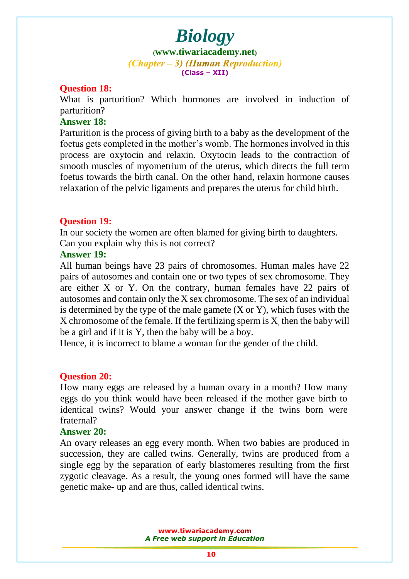**([www.tiwariacademy.net](http://www.tiwariacademy.net/))**  $(Chapter - 3)$  (Human Reproduction) **(Class – XII)**

#### **Question 18:**

What is parturition? Which hormones are involved in induction of parturition?

#### **Answer 18:**

Parturition is the process of giving birth to a baby as the development of the foetus gets completed in the mother's womb. The hormones involved in this process are oxytocin and relaxin. Oxytocin leads to the contraction of smooth muscles of myometrium of the uterus, which directs the full term foetus towards the birth canal. On the other hand, relaxin hormone causes relaxation of the pelvic ligaments and prepares the uterus for child birth.

#### **Question 19:**

In our society the women are often blamed for giving birth to daughters. Can you explain why this is not correct?

### **Answer 19:**

All human bein[gs have 23 pairs of chromosomes. Human](www.tiwariacademy.com) males have 22 pairs of autosomes and contain one or two types of sex chromosome. They are either X or Y. On the contrary, human females have 22 pairs of autosomes and contain only the X sex chromosome. The sex of an individual is determined by the type of the male gamete  $(X \text{ or } Y)$ , which fuses with the X chromosome of the female. If the fertilizing sperm is X, then the baby will be a girl and if it is Y, then the baby will be a boy.

Hence, it is incorrect to blame a woman for the gender of the child.

#### **Question 20:**

How many eggs are released by a human ovary in a month? How many eggs do you think would have been released if the mother gave birth to identical twins? Would your answer change if the twins born were fraternal?

#### **Answer 20:**

An ovary releases an egg every month. When two babies are produced in succession, they are called twins. Generally, twins are produced from a single egg by the separation of early blastomeres resulting from the first zygotic cleavage. As a result, the young ones formed will have the same genetic make- up and are thus, called identical twins.